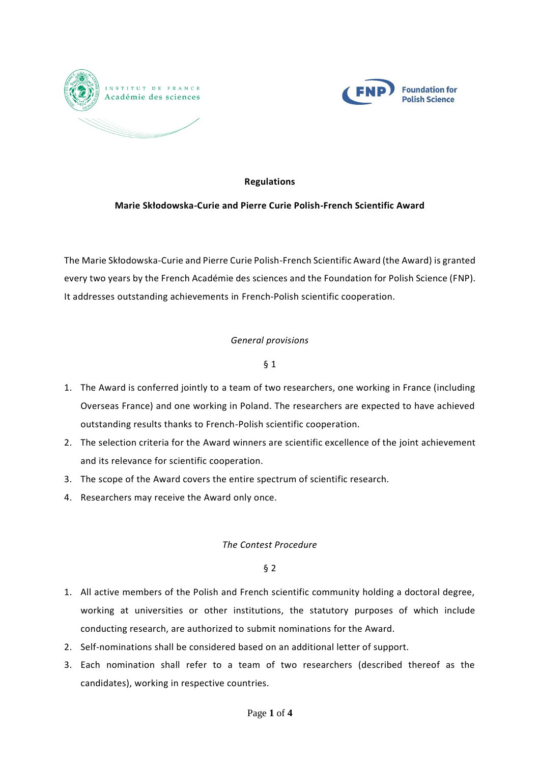



## **Regulations**

### **Marie Skłodowska-Curie and Pierre Curie Polish-French Scientific Award**

The Marie Skłodowska-Curie and Pierre Curie Polish-French Scientific Award (the Award) is granted every two years by the French Académie des sciences and the Foundation for Polish Science (FNP). It addresses outstanding achievements in French-Polish scientific cooperation.

### *General provisions*

### § 1

- 1. The Award is conferred jointly to a team of two researchers, one working in France (including Overseas France) and one working in Poland. The researchers are expected to have achieved outstanding results thanks to French-Polish scientific cooperation.
- 2. The selection criteria for the Award winners are scientific excellence of the joint achievement and its relevance for scientific cooperation.
- 3. The scope of the Award covers the entire spectrum of scientific research.
- 4. Researchers may receive the Award only once.

#### *The Contest Procedure*

- 1. All active members of the Polish and French scientific community holding a doctoral degree, working at universities or other institutions, the statutory purposes of which include conducting research, are authorized to submit nominations for the Award.
- 2. Self-nominations shall be considered based on an additional letter of support.
- 3. Each nomination shall refer to a team of two researchers (described thereof as the candidates), working in respective countries.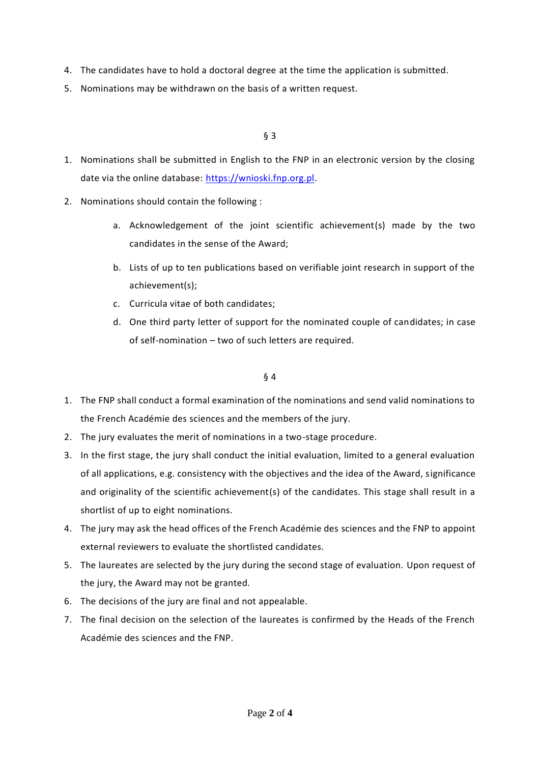- 4. The candidates have to hold a doctoral degree at the time the application is submitted.
- 5. Nominations may be withdrawn on the basis of a written request.

### § 3

- 1. Nominations shall be submitted in English to the FNP in an electronic version by the closing date via the online database: [https://wnioski.fnp.org.pl.](https://wnioski.fnp.org.pl/)
- 2. Nominations should contain the following :
	- a. Acknowledgement of the joint scientific achievement(s) made by the two candidates in the sense of the Award;
	- b. Lists of up to ten publications based on verifiable joint research in support of the achievement(s);
	- c. Curricula vitae of both candidates;
	- d. One third party letter of support for the nominated couple of candidates; in case of self-nomination – two of such letters are required.

- 1. The FNP shall conduct a formal examination of the nominations and send valid nominations to the French Académie des sciences and the members of the jury.
- 2. The jury evaluates the merit of nominations in a two-stage procedure.
- 3. In the first stage, the jury shall conduct the initial evaluation, limited to a general evaluation of all applications, e.g. consistency with the objectives and the idea of the Award, significance and originality of the scientific achievement(s) of the candidates. This stage shall result in a shortlist of up to eight nominations.
- 4. The jury may ask the head offices of the French Académie des sciences and the FNP to appoint external reviewers to evaluate the shortlisted candidates.
- 5. The laureates are selected by the jury during the second stage of evaluation. Upon request of the jury, the Award may not be granted.
- 6. The decisions of the jury are final and not appealable.
- 7. The final decision on the selection of the laureates is confirmed by the Heads of the French Académie des sciences and the FNP.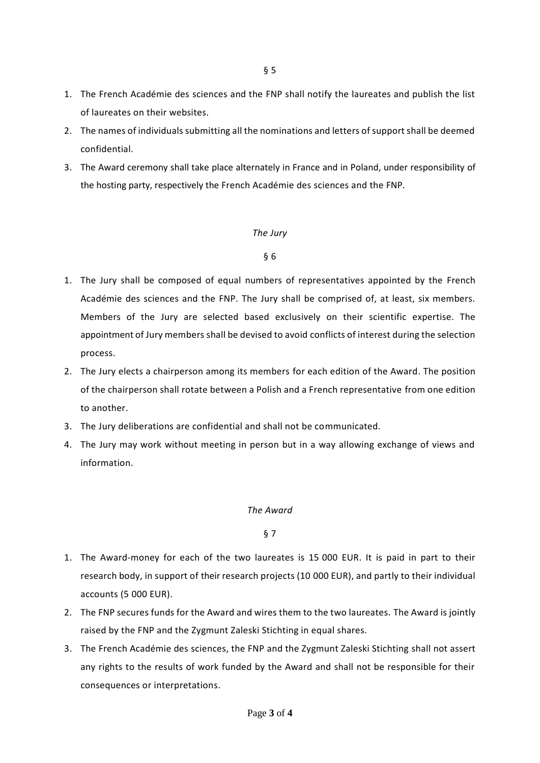- 1. The French Académie des sciences and the FNP shall notify the laureates and publish the list of laureates on their websites.
- 2. The names of individuals submitting all the nominations and letters of support shall be deemed confidential.
- 3. The Award ceremony shall take place alternately in France and in Poland, under responsibility of the hosting party, respectively the French Académie des sciences and the FNP.

#### *The Jury*

# § 6

- 1. The Jury shall be composed of equal numbers of representatives appointed by the French Académie des sciences and the FNP. The Jury shall be comprised of, at least, six members. Members of the Jury are selected based exclusively on their scientific expertise. The appointment of Jury members shall be devised to avoid conflicts of interest during the selection process.
- 2. The Jury elects a chairperson among its members for each edition of the Award. The position of the chairperson shall rotate between a Polish and a French representative from one edition to another.
- 3. The Jury deliberations are confidential and shall not be communicated.
- 4. The Jury may work without meeting in person but in a way allowing exchange of views and information.

#### *The Award*

- 1. The Award-money for each of the two laureates is 15 000 EUR. It is paid in part to their research body, in support of their research projects (10 000 EUR), and partly to their individual accounts (5 000 EUR).
- 2. The FNP secures funds for the Award and wires them to the two laureates. The Award is jointly raised by the FNP and the Zygmunt Zaleski Stichting in equal shares.
- 3. The French Académie des sciences, the FNP and the Zygmunt Zaleski Stichting shall not assert any rights to the results of work funded by the Award and shall not be responsible for their consequences or interpretations.